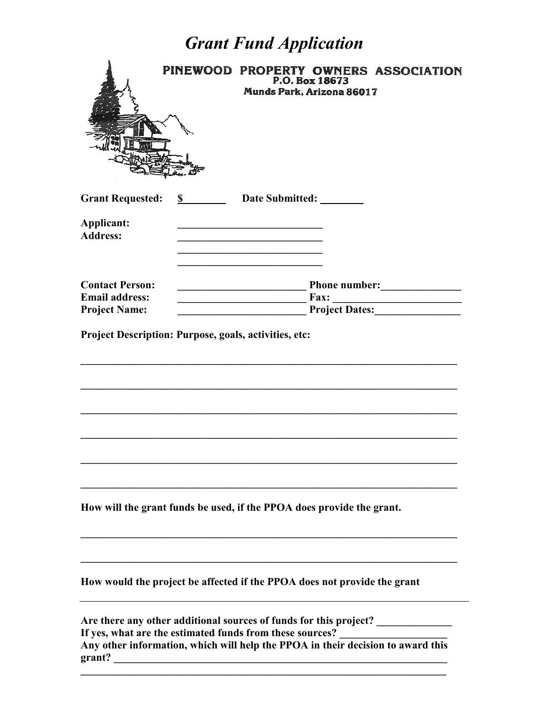## *Grant Fund Application*

|                                                                                                                                  | PINEWOOD PROPERTY OWNERS ASSOCIATION<br>P.O. Box 18673<br>Munds Park, Arizona 86017                                           |
|----------------------------------------------------------------------------------------------------------------------------------|-------------------------------------------------------------------------------------------------------------------------------|
| <b>Grant Requested:</b><br>Applicant:<br><b>Address:</b>                                                                         | \$<br>Date Submitted:<br><u> 1989 - Johann Barbara, martxa alemaniar amerikan a</u>                                           |
| <b>Contact Person:</b><br><b>Email address:</b><br><b>Project Name:</b><br>Project Description: Purpose, goals, activities, etc: | Phone number: <u>New York Charles Phone number</u>                                                                            |
|                                                                                                                                  |                                                                                                                               |
|                                                                                                                                  | How will the grant funds be used, if the PPOA does provide the grant.                                                         |
|                                                                                                                                  | How would the project be affected if the PPOA does not provide the grant                                                      |
|                                                                                                                                  | Are there any other additional sources of funds for this project?<br>If yes, what are the estimated funds from these sources? |

**Any other information, which will help the PPOA in their decision to award this grant? \_\_\_\_\_\_\_\_\_\_\_\_\_\_\_\_\_\_\_\_\_\_\_\_\_\_\_\_\_\_\_\_\_\_\_\_\_\_\_\_\_\_\_\_\_\_\_\_\_\_\_\_\_\_\_\_\_\_\_\_\_\_**

 $\mathcal{L} = \{ \mathcal{L} \mathcal{L} \mathcal{L} \mathcal{L} \mathcal{L} \mathcal{L} \mathcal{L} \mathcal{L} \mathcal{L} \mathcal{L} \mathcal{L} \mathcal{L} \mathcal{L} \mathcal{L} \mathcal{L} \mathcal{L} \mathcal{L} \mathcal{L} \mathcal{L} \mathcal{L} \mathcal{L} \mathcal{L} \mathcal{L} \mathcal{L} \mathcal{L} \mathcal{L} \mathcal{L} \mathcal{L} \mathcal{L} \mathcal{L} \mathcal{L} \mathcal{L} \mathcal{L} \mathcal{L} \mathcal{L} \$